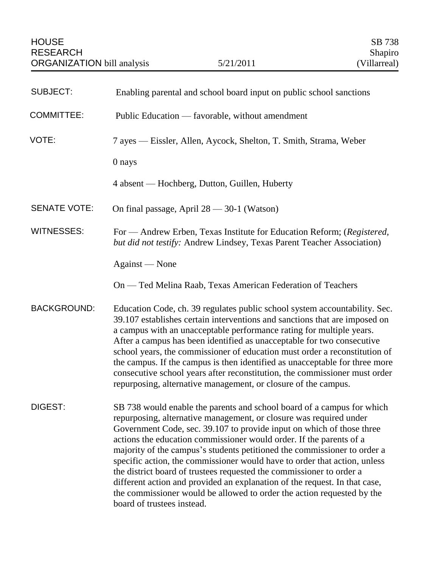| <b>SUBJECT:</b>     | Enabling parental and school board input on public school sanctions                                                                                                                                                                                                                                                                                                                                                                                                                                                                                                                                                                                                                                                 |
|---------------------|---------------------------------------------------------------------------------------------------------------------------------------------------------------------------------------------------------------------------------------------------------------------------------------------------------------------------------------------------------------------------------------------------------------------------------------------------------------------------------------------------------------------------------------------------------------------------------------------------------------------------------------------------------------------------------------------------------------------|
| <b>COMMITTEE:</b>   | Public Education — favorable, without amendment                                                                                                                                                                                                                                                                                                                                                                                                                                                                                                                                                                                                                                                                     |
| VOTE:               | 7 ayes — Eissler, Allen, Aycock, Shelton, T. Smith, Strama, Weber                                                                                                                                                                                                                                                                                                                                                                                                                                                                                                                                                                                                                                                   |
|                     | 0 nays                                                                                                                                                                                                                                                                                                                                                                                                                                                                                                                                                                                                                                                                                                              |
|                     | 4 absent — Hochberg, Dutton, Guillen, Huberty                                                                                                                                                                                                                                                                                                                                                                                                                                                                                                                                                                                                                                                                       |
| <b>SENATE VOTE:</b> | On final passage, April $28 - 30 - 1$ (Watson)                                                                                                                                                                                                                                                                                                                                                                                                                                                                                                                                                                                                                                                                      |
| <b>WITNESSES:</b>   | For — Andrew Erben, Texas Institute for Education Reform; (Registered,<br>but did not testify: Andrew Lindsey, Texas Parent Teacher Association)                                                                                                                                                                                                                                                                                                                                                                                                                                                                                                                                                                    |
|                     | Against — None                                                                                                                                                                                                                                                                                                                                                                                                                                                                                                                                                                                                                                                                                                      |
|                     | On — Ted Melina Raab, Texas American Federation of Teachers                                                                                                                                                                                                                                                                                                                                                                                                                                                                                                                                                                                                                                                         |
| <b>BACKGROUND:</b>  | Education Code, ch. 39 regulates public school system accountability. Sec.<br>39.107 establishes certain interventions and sanctions that are imposed on<br>a campus with an unacceptable performance rating for multiple years.<br>After a campus has been identified as unacceptable for two consecutive<br>school years, the commissioner of education must order a reconstitution of<br>the campus. If the campus is then identified as unacceptable for three more<br>consecutive school years after reconstitution, the commissioner must order<br>repurposing, alternative management, or closure of the campus.                                                                                             |
| DIGEST:             | SB 738 would enable the parents and school board of a campus for which<br>repurposing, alternative management, or closure was required under<br>Government Code, sec. 39.107 to provide input on which of those three<br>actions the education commissioner would order. If the parents of a<br>majority of the campus's students petitioned the commissioner to order a<br>specific action, the commissioner would have to order that action, unless<br>the district board of trustees requested the commissioner to order a<br>different action and provided an explanation of the request. In that case,<br>the commissioner would be allowed to order the action requested by the<br>board of trustees instead. |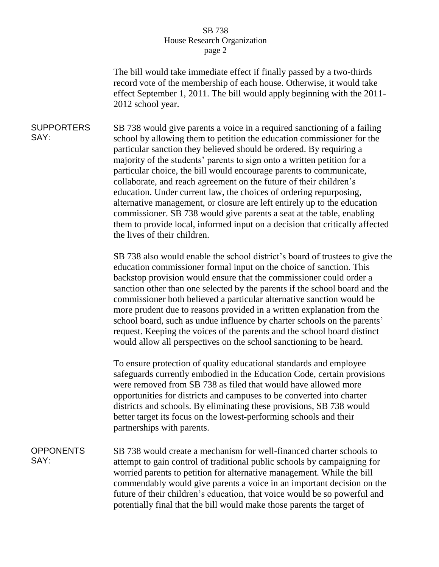## SB 738 House Research Organization page 2

The bill would take immediate effect if finally passed by a two-thirds record vote of the membership of each house. Otherwise, it would take effect September 1, 2011. The bill would apply beginning with the 2011- 2012 school year.

**SUPPORTERS** SAY: SB 738 would give parents a voice in a required sanctioning of a failing school by allowing them to petition the education commissioner for the particular sanction they believed should be ordered. By requiring a majority of the students' parents to sign onto a written petition for a particular choice, the bill would encourage parents to communicate, collaborate, and reach agreement on the future of their children's education. Under current law, the choices of ordering repurposing, alternative management, or closure are left entirely up to the education commissioner. SB 738 would give parents a seat at the table, enabling them to provide local, informed input on a decision that critically affected the lives of their children.

> SB 738 also would enable the school district's board of trustees to give the education commissioner formal input on the choice of sanction. This backstop provision would ensure that the commissioner could order a sanction other than one selected by the parents if the school board and the commissioner both believed a particular alternative sanction would be more prudent due to reasons provided in a written explanation from the school board, such as undue influence by charter schools on the parents' request. Keeping the voices of the parents and the school board distinct would allow all perspectives on the school sanctioning to be heard.

To ensure protection of quality educational standards and employee safeguards currently embodied in the Education Code, certain provisions were removed from SB 738 as filed that would have allowed more opportunities for districts and campuses to be converted into charter districts and schools. By eliminating these provisions, SB 738 would better target its focus on the lowest-performing schools and their partnerships with parents.

**OPPONENTS** SAY: SB 738 would create a mechanism for well-financed charter schools to attempt to gain control of traditional public schools by campaigning for worried parents to petition for alternative management. While the bill commendably would give parents a voice in an important decision on the future of their children's education, that voice would be so powerful and potentially final that the bill would make those parents the target of